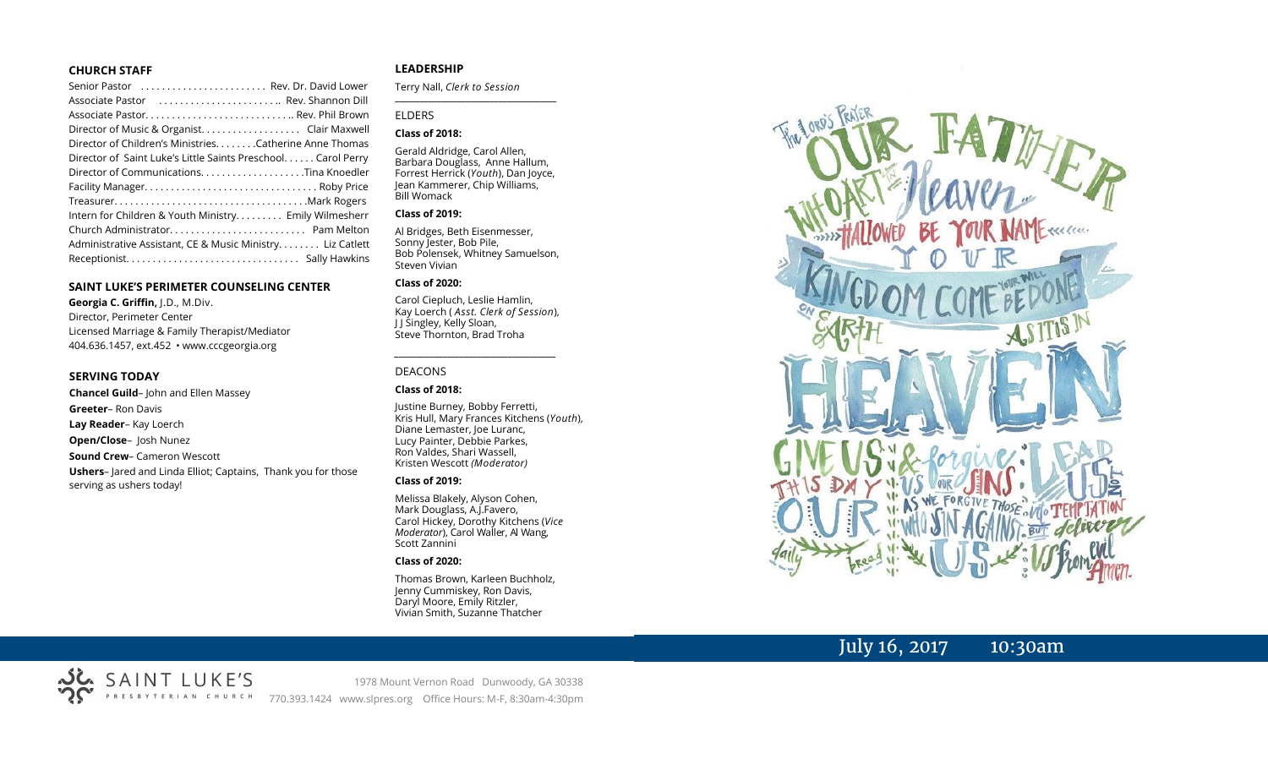#### **CHURCH STAFF**

| Senior Pastor  Rev. Dr. David Lower                          |
|--------------------------------------------------------------|
| Associate Pastor  Rev. Shannon Dill                          |
|                                                              |
|                                                              |
| Director of Children's Ministries. Catherine Anne Thomas     |
| Director of Saint Luke's Little Saints Preschool Carol Perry |
|                                                              |
|                                                              |
|                                                              |
| Intern for Children & Youth Ministry Emily Wilmesherr        |
|                                                              |
| Administrative Assistant, CE & Music Ministry Liz Catlett    |
|                                                              |

#### **SAINT LUKE'S PERIMETER COUNSELING CENTER**

**Georgia C. Griffin,** J.D., M.Div. Director, Perimeter Center Licensed Marriage & Family Therapist/Mediator 404.636.1457, ext.452 • www.cccgeorgia.org

#### **SERVING TODAY**

**Chancel Guild**– John and Ellen Massey **Greeter**– Ron Davis **Lay Reader**– Kay Loerch **Open/Close**– Josh Nunez **Sound Crew**– Cameron Wescott **Ushers**– Jared and Linda Elliot; Captains, Thank you for those serving as ushers today!

#### **LEADERSHIP**

Terry Nall, *Clerk to Session* 

**\_\_\_\_\_\_\_\_\_\_\_\_\_\_\_\_\_\_\_\_\_\_\_\_\_\_\_\_\_\_\_\_\_\_\_\_\_\_\_**

#### ELDERS

#### **Class of 2018:**

Gerald Aldridge, Carol Allen, Barbara Douglass, Anne Hallum, Forrest Herrick (*Youth*), Dan Joyce, Jean Kammerer, Chip Williams, Bill Womack

#### **Class of 2019:**

Al Bridges, Beth Eisenmesser, Sonny Jester, Bob Pile, Bob Polensek, Whitney Samuelson, Steven Vivian

#### **Class of 2020:**

Carol Ciepluch, Leslie Hamlin, Kay Loerch ( *Asst. Clerk of Session*), J J Singley, Kelly Sloan, Steve Thornton, Brad Troha

*\_\_\_\_\_\_\_\_\_\_\_\_\_\_\_\_\_\_\_\_\_\_\_\_\_\_\_\_\_\_\_\_\_\_\_\_\_*

#### DEACONS

#### **Class of 2018:**

Justine Burney, Bobby Ferretti, Kris Hull, Mary Frances Kitchens (*Youth*), Diane Lemaster, Joe Luranc, Lucy Painter, Debbie Parkes, Ron Valdes, Shari Wassell, Kristen Wescott *(Moderator)*

#### **Class of 2019:**

Melissa Blakely, Alyson Cohen, Mark Douglass, A.J.Favero, Carol Hickey, Dorothy Kitchens (*Vice Moderator*), Carol Waller, Al Wang, Scott Zannini

#### **Class of 2020:**

Thomas Brown, Karleen Buchholz, Jenny Cummiskey, Ron Davis, Daryl Moore, Emily Ritzler, Vivian Smith, Suzanne Thatcher



## July 16, 2017 10:30am



1978 Mount Vernon Road Dunwoody, GA 30338 770.393.1424 www.slpres.org Office Hours: M-F, 8:30am-4:30pm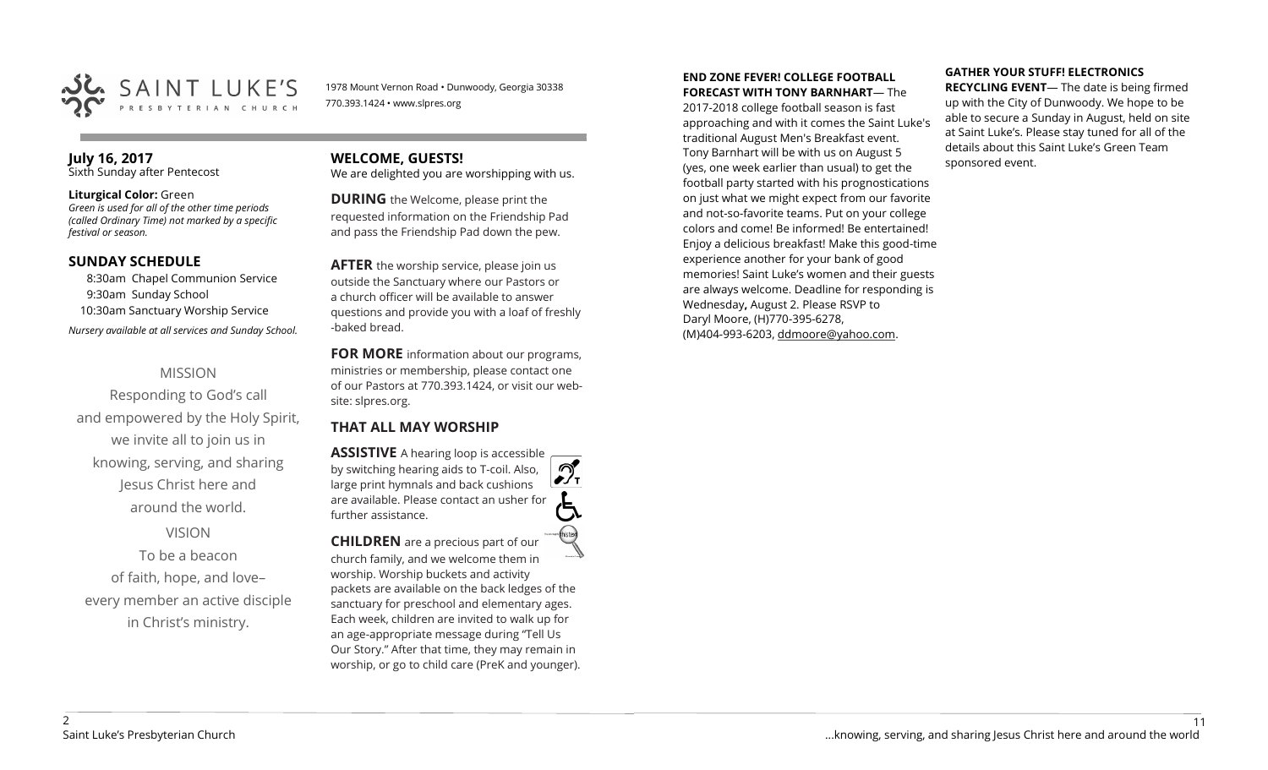

1978 Mount Vernon Road • Dunwoody, Georgia 30338 770.393.1424 • www.slpres.org

#### **July 16, 2017**  Sixth Sunday after Pentecost

#### **Liturgical Color:** Green

*Green is used for all of the other time periods (called Ordinary Time) not marked by a specific festival or season.*

#### **SUNDAY SCHEDULE**

8:30am Chapel Communion Service 9:30am Sunday School 10:30am Sanctuary Worship Service *Nursery available at all services and Sunday School.* 

### MISSION

Responding to God's call and empowered by the Holy Spirit, we invite all to join us in knowing, serving, and sharing Jesus Christ here and around the world.

## VISION

To be a beacon of faith, hope, and love– every member an active disciple in Christ's ministry.

## **WELCOME, GUESTS!**

We are delighted you are worshipping with us.

**DURING** the Welcome, please print the requested information on the Friendship Pad and pass the Friendship Pad down the pew.

**AFTER** the worship service, please join us outside the Sanctuary where our Pastors or a church officer will be available to answer questions and provide you with a loaf of freshly -baked bread.

**FOR MORE** information about our programs, ministries or membership, please contact one of our Pastors at 770.393.1424, or visit our website: slpres.org.

## **THAT ALL MAY WORSHIP**

**ASSISTIVE** A hearing loop is accessible പ് by switching hearing aids to T-coil. Also,  $\frac{1}{\sqrt{1}}$ large print hymnals and back cushions are available. Please contact an usher for further assistance.

**CHILDREN** are a precious part of our church family, and we welcome them in worship. Worship buckets and activity packets are available on the back ledges of the sanctuary for preschool and elementary ages. Each week, children are invited to walk up for an age-appropriate message during "Tell Us Our Story." After that time, they may remain in worship, or go to child care (PreK and younger).

#### **END ZONE FEVER! COLLEGE FOOTBALL FORECAST WITH TONY BARNHART**— The

2017-2018 college football season is fast approaching and with it comes the Saint Luke's traditional August Men's Breakfast event. Tony Barnhart will be with us on August 5 (yes, one week earlier than usual) to get the football party started with his prognostications on just what we might expect from our favorite and not-so-favorite teams. Put on your college colors and come! Be informed! Be entertained! Enjoy a delicious breakfast! Make this good-time experience another for your bank of good memories! Saint Luke's women and their guests are always welcome. Deadline for responding is Wednesday**,** August 2. Please RSVP to Daryl Moore, (H)770-395-6278, (M)404-993-6203, [ddmoore@yahoo.com.](mailto:ddmoore@yahoo.com)

#### **GATHER YOUR STUFF! ELECTRONICS**

**RECYCLING EVENT**— The date is being firmed up with the City of Dunwoody. We hope to be able to secure a Sunday in August, held on site at Saint Luke's. Please stay tuned for all of the details about this Saint Luke's Green Team sponsored event.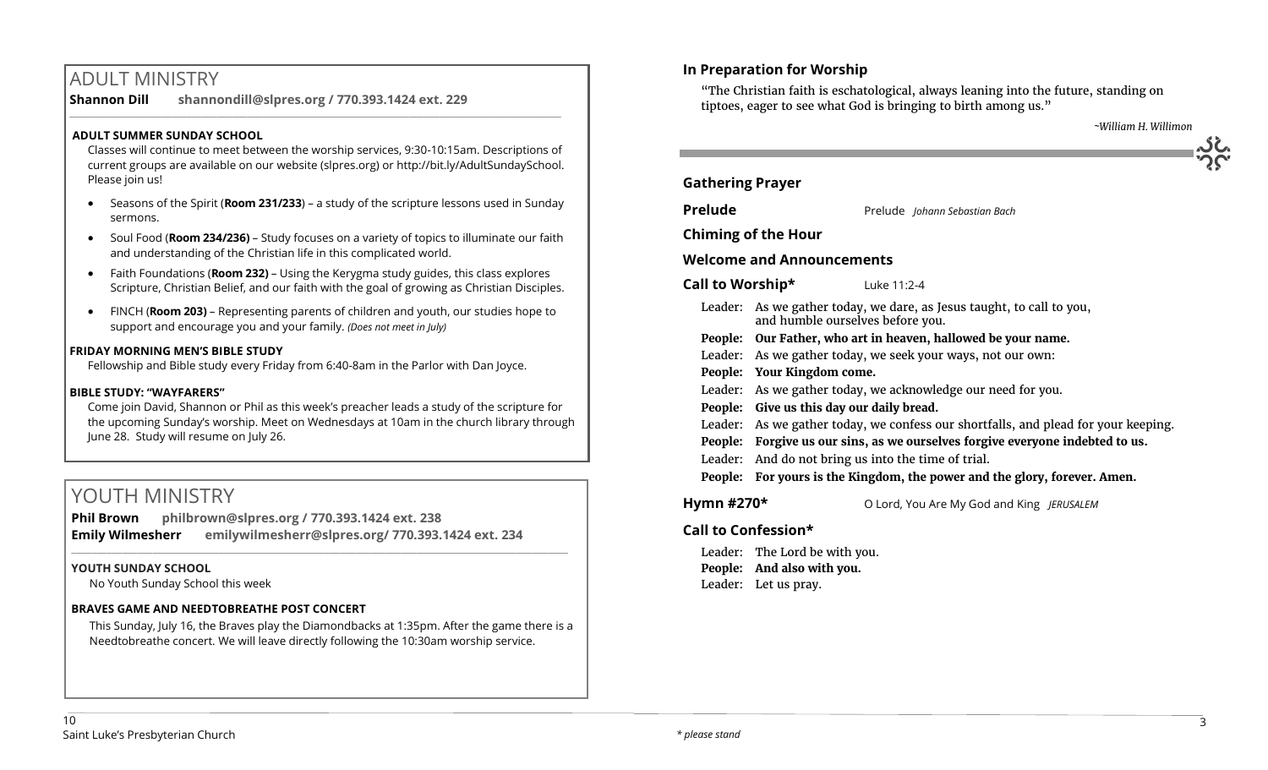## ADULT MINISTRY

**Shannon Dill shannondill@slpres.org / 770.393.1424 ext. 229** 

#### **ADULT SUMMER SUNDAY SCHOOL**

Classes will continue to meet between the worship services, 9:30-10:15am. Descriptions of current groups are available on our website (slpres.org) or http://bit.ly/AdultSundaySchool. Please join us!

 $\_$  ,  $\_$  ,  $\_$  ,  $\_$  ,  $\_$  ,  $\_$  ,  $\_$  ,  $\_$  ,  $\_$  ,  $\_$  ,  $\_$  ,  $\_$  ,  $\_$  ,  $\_$  ,  $\_$  ,  $\_$  ,  $\_$  ,  $\_$  ,  $\_$  ,  $\_$ 

- Seasons of the Spirit (**Room 231/233**) a study of the scripture lessons used in Sunday sermons.
- Soul Food (**Room 234/236)**  Study focuses on a variety of topics to illuminate our faith and understanding of the Christian life in this complicated world.
- Faith Foundations (**Room 232)**  Using the Kerygma study guides, this class explores Scripture, Christian Belief, and our faith with the goal of growing as Christian Disciples.
- FINCH (**Room 203)** Representing parents of children and youth, our studies hope to support and encourage you and your family. *(Does not meet in July)*

#### **FRIDAY MORNING MEN'S BIBLE STUDY**

Fellowship and Bible study every Friday from 6:40-8am in the Parlor with Dan Joyce.

#### **BIBLE STUDY: "WAYFARERS"**

Come join David, Shannon or Phil as this week's preacher leads a study of the scripture for the upcoming Sunday's worship. Meet on Wednesdays at 10am in the church library through June 28. Study will resume on July 26.

## YOUTH MINISTRY

**Phil Brown philbrown@slpres.org / 770.393.1424 ext. 238 Emily Wilmesherr emilywilmesherr@slpres.org/ 770.393.1424 ext. 234** 

#### **YOUTH SUNDAY SCHOOL**

No Youth Sunday School this week

#### **BRAVES GAME AND NEEDTOBREATHE POST CONCERT**

This Sunday, July 16, the Braves play the Diamondbacks at 1:35pm. After the game there is a Needtobreathe concert. We will leave directly following the 10:30am worship service.

 $\_$  ,  $\_$  ,  $\_$  ,  $\_$  ,  $\_$  ,  $\_$  ,  $\_$  ,  $\_$  ,  $\_$  ,  $\_$  ,  $\_$  ,  $\_$  ,  $\_$  ,  $\_$  ,  $\_$  ,  $\_$  ,  $\_$  ,  $\_$  ,  $\_$  ,  $\_$ 

## **In Preparation for Worship**

"The Christian faith is eschatological, always leaning into the future, standing on tiptoes, eager to see what God is bringing to birth among us."

| <b>Gathering Prayer</b>          |                                                                                                           |  |  |  |
|----------------------------------|-----------------------------------------------------------------------------------------------------------|--|--|--|
| <b>Prelude</b>                   | Prelude Johann Sebastian Bach                                                                             |  |  |  |
|                                  | <b>Chiming of the Hour</b>                                                                                |  |  |  |
| <b>Welcome and Announcements</b> |                                                                                                           |  |  |  |
| Call to Worship*                 | Luke 11:2-4                                                                                               |  |  |  |
|                                  | Leader: As we gather today, we dare, as Jesus taught, to call to you,<br>and humble ourselves before you. |  |  |  |
| People:                          | Our Father, who art in heaven, hallowed be your name.                                                     |  |  |  |
|                                  | Leader: As we gather today, we seek your ways, not our own:                                               |  |  |  |
|                                  | People: Your Kingdom come.                                                                                |  |  |  |
|                                  | Leader: As we gather today, we acknowledge our need for you.                                              |  |  |  |
|                                  | People: Give us this day our daily bread.                                                                 |  |  |  |
|                                  | Leader: As we gather today, we confess our shortfalls, and plead for your keeping.                        |  |  |  |
| People:                          | Forgive us our sins, as we ourselves forgive everyone indebted to us.                                     |  |  |  |
| Leader:                          | And do not bring us into the time of trial.                                                               |  |  |  |
|                                  | People: For yours is the Kingdom, the power and the glory, forever. Amen.                                 |  |  |  |
| Hymn #270 $*$                    | O Lord, You Are My God and King JERUSALEM                                                                 |  |  |  |

## **Call to Confession\***

Leader: The Lord be with you. **People: And also with you.** Leader: Let us pray.

 *~William H. Willimon*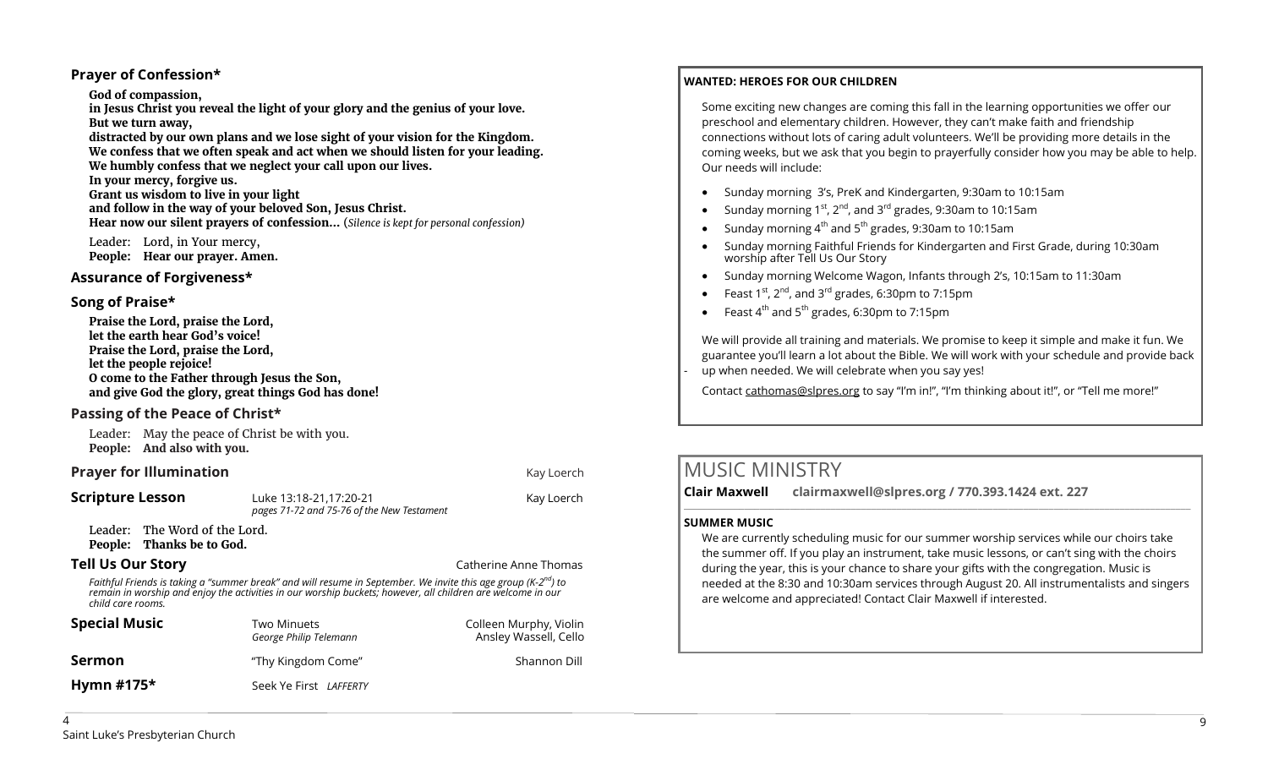#### **Prayer of Confession\***

#### **God of compassion,**

**in Jesus Christ you reveal the light of your glory and the genius of your love. But we turn away,** 

**distracted by our own plans and we lose sight of your vision for the Kingdom. We confess that we often speak and act when we should listen for your leading. We humbly confess that we neglect your call upon our lives.** 

**In your mercy, forgive us.** 

**Grant us wisdom to live in your light and follow in the way of your beloved Son, Jesus Christ. Hear now our silent prayers of confession…** (*Silence is kept for personal confession)* 

Leader: Lord, in Your mercy, **People: Hear our prayer. Amen.**

### **Assurance of Forgiveness\***

#### **Song of Praise\***

**Praise the Lord, praise the Lord, let the earth hear God's voice! Praise the Lord, praise the Lord, let the people rejoice! O come to the Father through Jesus the Son, and give God the glory, great things God has done!** 

### **Passing of the Peace of Christ\***

Leader: May the peace of Christ be with you. **People: And also with you.**

## **Prayer for Illumination Communication Communication Communication Kay Loerch**

**Scripture Lesson** Luke 13:18-21,17:20-21 Kay Loerch *pages 71-72 and 75-76 of the New Testament* 

Leader: The Word of the Lord. **People: Thanks be to God.**

### **Tell Us Our Story Catherine Anne Thomas Catherine Anne Thomas Catherine Anne Thomas**

*Faithful Friends is taking a "summer break" and will resume in September. We invite this age group (K-2 nd) to remain in worship and enjoy the activities in our worship buckets; however, all children are welcome in our child care rooms.*

| <b>Special Music</b> | Two Minuets<br>George Philip Telemann | Colleen Murphy, Violin<br>Ansley Wassell, Cello |
|----------------------|---------------------------------------|-------------------------------------------------|
| Sermon               | "Thy Kingdom Come"                    | Shannon Dill                                    |
| Hymn $#175*$         | Seek Ye First LAFFERTY                |                                                 |

### **WANTED: HEROES FOR OUR CHILDREN**

Some exciting new changes are coming this fall in the learning opportunities we offer our preschool and elementary children. However, they can't make faith and friendship connections without lots of caring adult volunteers. We'll be providing more details in the coming weeks, but we ask that you begin to prayerfully consider how you may be able to help. Our needs will include:

- Sunday morning 3's, PreK and Kindergarten, 9:30am to 10:15am
- Sunday morning  $1^{st}$ ,  $2^{nd}$ , and  $3^{rd}$  grades, 9:30am to 10:15am
- Sunday morning  $4<sup>th</sup>$  and  $5<sup>th</sup>$  grades, 9:30am to 10:15am
- Sunday morning Faithful Friends for Kindergarten and First Grade, during 10:30am worship after Tell Us Our Story
- Sunday morning Welcome Wagon, Infants through 2's, 10:15am to 11:30am
- Feast  $1^{st}$ ,  $2^{nd}$ , and  $3^{rd}$  grades, 6:30pm to 7:15pm
- Feast  $4^{th}$  and  $5^{th}$  grades, 6:30pm to 7:15pm

We will provide all training and materials. We promise to keep it simple and make it fun. We guarantee you'll learn a lot about the Bible. We will work with your schedule and provide back up when needed. We will celebrate when you say yes!

Contact [cathomas@slpres.org](mailto:cathomas@slpres.org) to say "I'm in!", "I'm thinking about it!", or "Tell me more!"

## MUSIC MINISTRY

**Clair Maxwell clairmaxwell@slpres.org / 770.393.1424 ext. 227** 

#### **SUMMER MUSIC**

We are currently scheduling music for our summer worship services while our choirs take the summer off. If you play an instrument, take music lessons, or can't sing with the choirs during the year, this is your chance to share your gifts with the congregation. Music is needed at the 8:30 and 10:30am services through August 20. All instrumentalists and singers are welcome and appreciated! Contact Clair Maxwell if interested.

 $\_$  , and the set of the set of the set of the set of the set of the set of the set of the set of the set of the set of the set of the set of the set of the set of the set of the set of the set of the set of the set of th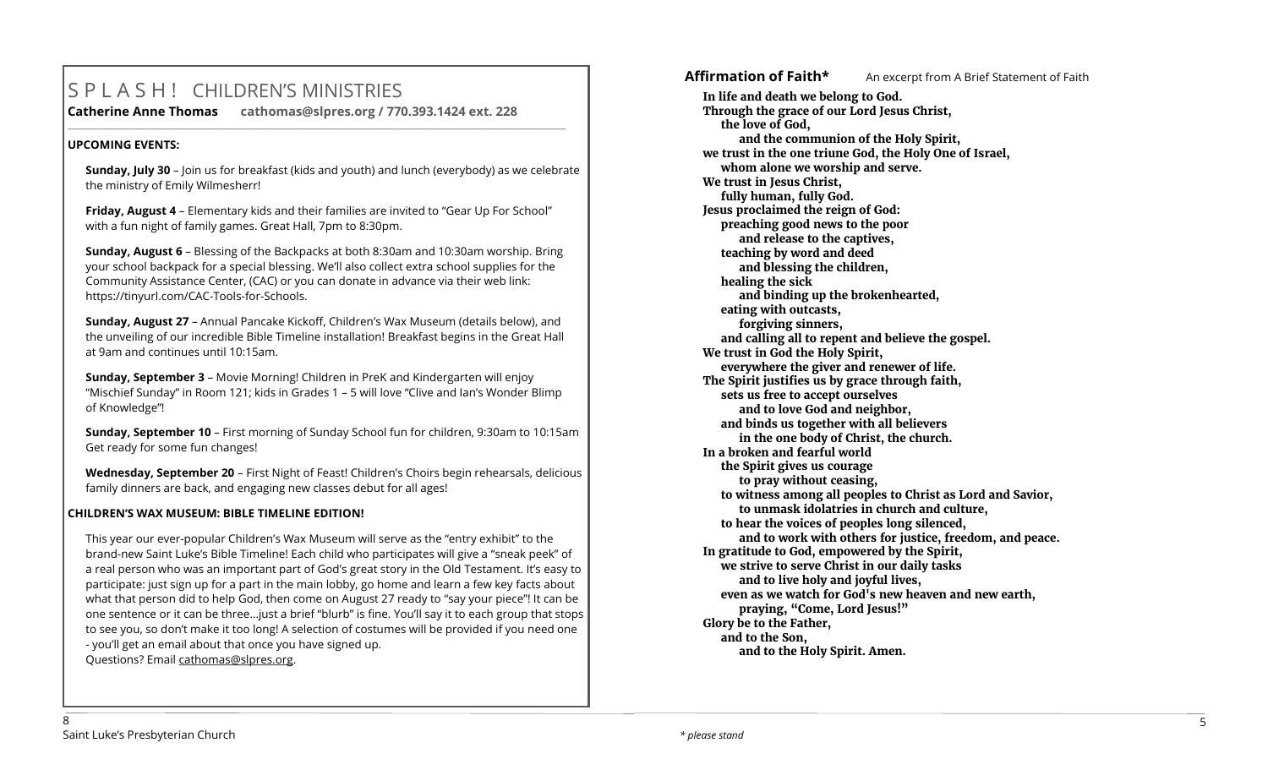## S P L A S H ! CHILDREN'S MINISTRIES

**Catherine Anne Thomas cathomas@slpres.org / 770.393.1424 ext. 228 \_\_\_\_\_\_\_\_\_\_\_\_\_\_\_\_\_\_\_\_\_\_\_\_\_\_\_\_\_\_\_\_\_\_\_\_\_\_\_\_\_\_\_\_\_\_\_\_\_\_\_\_\_\_\_\_\_\_\_\_\_\_\_\_\_\_\_\_\_\_\_\_\_\_\_\_\_\_\_\_\_\_\_\_\_\_\_\_\_\_\_\_\_\_\_\_\_\_\_\_\_\_\_\_\_\_\_** 

#### **UPCOMING EVENTS:**

**Sunday, July 30** – Join us for breakfast (kids and youth) and lunch (everybody) as we celebrate the ministry of Emily Wilmesherr!

**Friday, August 4** – Elementary kids and their families are invited to "Gear Up For School" with a fun night of family games. Great Hall, 7pm to 8:30pm.

**Sunday, August 6** – Blessing of the Backpacks at both 8:30am and 10:30am worship. Bring your school backpack for a special blessing. We'll also collect extra school supplies for the Community Assistance Center, (CAC) or you can donate in advance via their web link: https://tinyurl.com/CAC-Tools-for-Schools.

**Sunday, August 27** – Annual Pancake Kickoff, Children's Wax Museum (details below), and the unveiling of our incredible Bible Timeline installation! Breakfast begins in the Great Hall at 9am and continues until 10:15am.

**Sunday, September 3** – Movie Morning! Children in PreK and Kindergarten will enjoy "Mischief Sunday" in Room 121; kids in Grades 1 – 5 will love "Clive and Ian's Wonder Blimp of Knowledge"!

**Sunday, September 10** – First morning of Sunday School fun for children, 9:30am to 10:15am Get ready for some fun changes!

**Wednesday, September 20** – First Night of Feast! Children's Choirs begin rehearsals, delicious family dinners are back, and engaging new classes debut for all ages!

#### **CHILDREN'S WAX MUSEUM: BIBLE TIMELINE EDITION!**

This year our ever-popular Children's Wax Museum will serve as the "entry exhibit" to the brand-new Saint Luke's Bible Timeline! Each child who participates will give a "sneak peek" of a real person who was an important part of God's great story in the Old Testament. It's easy to participate: just sign up for a part in the main lobby, go home and learn a few key facts about what that person did to help God, then come on August 27 ready to "say your piece"! It can be one sentence or it can be three…just a brief "blurb" is fine. You'll say it to each group that stops to see you, so don't make it too long! A selection of costumes will be provided if you need one - you'll get an email about that once you have signed up. Questions? Email [cathomas@slpres.org.](mailto:cathomas@slpres.org)

Affirmation of Faith<sup>\*</sup> An excerpt from A Brief Statement of Faith

**In life and death we belong to God. Through the grace of our Lord Jesus Christ, the love of God, and the communion of the Holy Spirit, we trust in the one triune God, the Holy One of Israel, whom alone we worship and serve. We trust in Jesus Christ, fully human, fully God. Jesus proclaimed the reign of God: preaching good news to the poor and release to the captives, teaching by word and deed and blessing the children, healing the sick and binding up the brokenhearted, eating with outcasts, forgiving sinners, and calling all to repent and believe the gospel. We trust in God the Holy Spirit, everywhere the giver and renewer of life. The Spirit justifies us by grace through faith, sets us free to accept ourselves and to love God and neighbor, and binds us together with all believers in the one body of Christ, the church. In a broken and fearful world the Spirit gives us courage to pray without ceasing, to witness among all peoples to Christ as Lord and Savior, to unmask idolatries in church and culture, to hear the voices of peoples long silenced, and to work with others for justice, freedom, and peace. In gratitude to God, empowered by the Spirit, we strive to serve Christ in our daily tasks and to live holy and joyful lives, even as we watch for God's new heaven and new earth, praying, "Come, Lord Jesus!" Glory be to the Father, and to the Son, and to the Holy Spirit. Amen.**